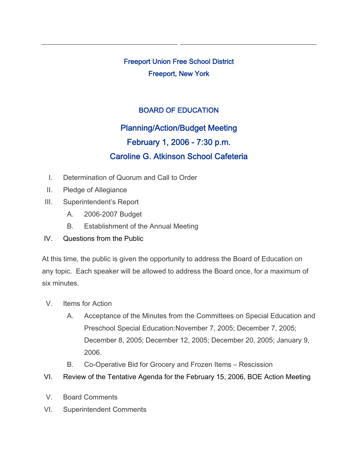Freeport Union Free School District Freeport, New York

## BOARD OF EDUCATION

## Planning/Action/Budget Meeting February 1, 2006 - 7:30 p.m. Caroline G. Atkinson School Cafeteria

- I. Determination of Quorum and Call to Order
- II. Pledge of Allegiance
- III. Superintendent's Report
	- A. 2006-2007 Budget
	- B. Establishment of the Annual Meeting
- IV. Questions from the Public

At this time, the public is given the opportunity to address the Board of Education on any topic. Each speaker will be allowed to address the Board once, for a maximum of six minutes.

- V. Items for Action
	- A. Acceptance of the Minutes from the Committees on Special Education and Preschool Special Education:November 7, 2005; December 7, 2005; December 8, 2005; December 12, 2005; December 20, 2005; January 9, 2006.
	- B. Co-Operative Bid for Grocery and Frozen Items Rescission
- VI. Review of the Tentative Agenda for the February 15, 2006, BOE Action Meeting
- V. Board Comments
- VI. Superintendent Comments